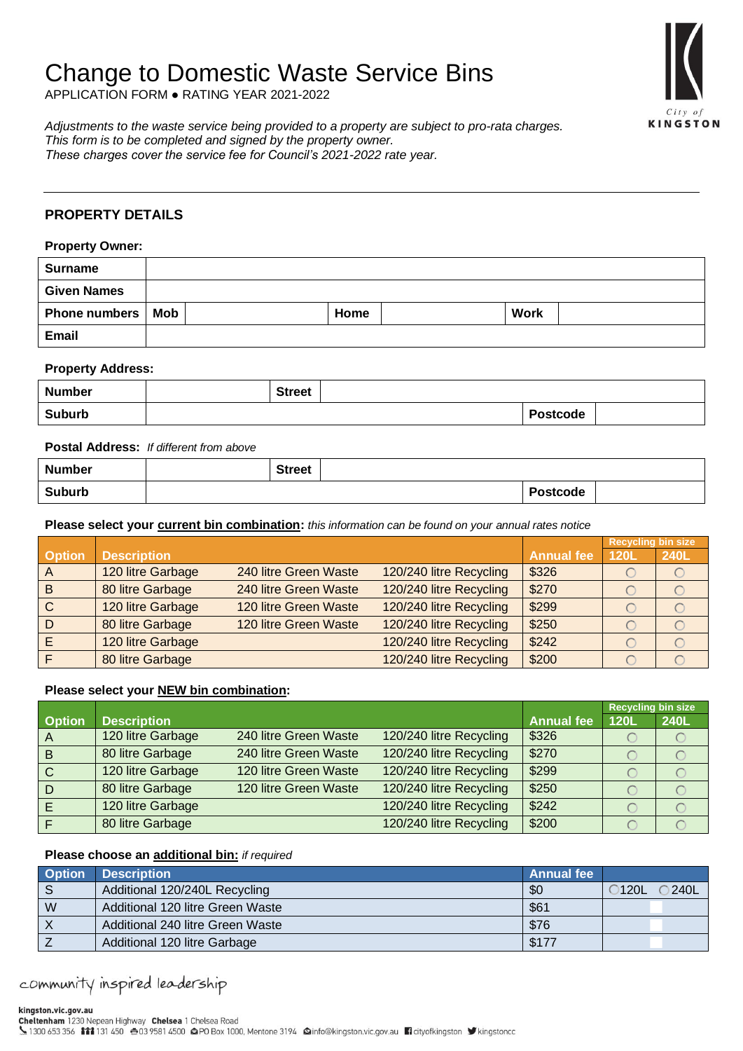# Change to Domestic Waste Service Bins

APPLICATION FORM ● RATING YEAR 2021-2022

KINGSTON

*Adjustments to the waste service being provided to a property are subject to pro-rata charges. This form is to be completed and signed by the property owner. These charges cover the service fee for Council's 2021-2022 rate year.*

## **PROPERTY DETAILS**

| <b>Property Owner:</b> |  |      |             |  |  |  |
|------------------------|--|------|-------------|--|--|--|
| <b>Surname</b>         |  |      |             |  |  |  |
| <b>Given Names</b>     |  |      |             |  |  |  |
| Phone numbers   Mob    |  | Home | <b>Work</b> |  |  |  |
| <b>Email</b>           |  |      |             |  |  |  |

### **Property Address:**

| <b>Number</b> | <b>Street</b> |                 |  |
|---------------|---------------|-----------------|--|
| <b>Suburb</b> |               | <b>Postcode</b> |  |

## **Postal Address:** *If different from above*

| <b>Number</b> | <b>Street</b> |                 |  |
|---------------|---------------|-----------------|--|
| <b>Suburb</b> |               | <b>Postcode</b> |  |

**Please select your current bin combination:** *this information can be found on your annual rates notice*

|                |                    |                       |                         |                   | <b>Recycling bin size</b> |      |
|----------------|--------------------|-----------------------|-------------------------|-------------------|---------------------------|------|
| <b>Option</b>  | <b>Description</b> |                       |                         | <b>Annual fee</b> | 120L                      | 240L |
| $\overline{A}$ | 120 litre Garbage  | 240 litre Green Waste | 120/240 litre Recycling | \$326             |                           |      |
| B              | 80 litre Garbage   | 240 litre Green Waste | 120/240 litre Recycling | \$270             |                           |      |
| $\mathsf{C}$   | 120 litre Garbage  | 120 litre Green Waste | 120/240 litre Recycling | \$299             |                           |      |
| D              | 80 litre Garbage   | 120 litre Green Waste | 120/240 litre Recycling | \$250             |                           |      |
|                | 120 litre Garbage  |                       | 120/240 litre Recycling | \$242             |                           |      |
|                | 80 litre Garbage   |                       | 120/240 litre Recycling | \$200             |                           |      |

## **Please select your NEW bin combination:**

|                |                    |                       |                         |                   | <b>Recycling bin size</b> |      |
|----------------|--------------------|-----------------------|-------------------------|-------------------|---------------------------|------|
| <b>Option</b>  | <b>Description</b> |                       |                         | <b>Annual fee</b> | 120L                      | 240L |
| A              | 120 litre Garbage  | 240 litre Green Waste | 120/240 litre Recycling | \$326             |                           |      |
| $\overline{B}$ | 80 litre Garbage   | 240 litre Green Waste | 120/240 litre Recycling | \$270             |                           |      |
| $\mathbf C$    | 120 litre Garbage  | 120 litre Green Waste | 120/240 litre Recycling | \$299             |                           |      |
| D              | 80 litre Garbage   | 120 litre Green Waste | 120/240 litre Recycling | \$250             |                           |      |
|                | 120 litre Garbage  |                       | 120/240 litre Recycling | \$242             |                           |      |
|                | 80 litre Garbage   |                       | 120/240 litre Recycling | \$200             |                           |      |

## **Please choose an additional bin:** *if required*

| <b>Option</b> | <b>Description</b>               | <b>Annual fee</b> |                     |
|---------------|----------------------------------|-------------------|---------------------|
| <sub>S</sub>  | Additional 120/240L Recycling    | \$0               | 240L<br><b>120L</b> |
| W             | Additional 120 litre Green Waste | \$61              |                     |
|               | Additional 240 litre Green Waste | \$76              |                     |
|               | Additional 120 litre Garbage     | \$177             |                     |

community inspired leadership